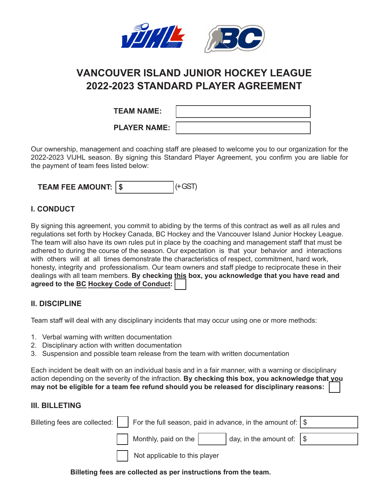

# **VANCOUVER ISLAND JUNIOR HOCKEY LEAGUE 2022-2023 STANDARD PLAYER AGREEMENT**

| <b>TEAM NAME:</b>   |  |
|---------------------|--|
| <b>PLAYER NAME:</b> |  |

Our ownership, management and coaching staff are pleased to welcome you to our organization for the 2022-2023 VIJHL season. By signing this Standard Player Agreement, you confirm you are liable for the payment of team fees listed below:

| <b>TEAM FEE AMOUNT:   \$</b> | 14 GST |
|------------------------------|--------|
|                              |        |

## **I. CONDUCT**

By signing this agreement, you commit to abiding by the terms of this contract as well as all rules and regulations set forth by Hockey Canada, BC Hockey and the Vancouver Island Junior Hockey League. The team will also have its own rules put in place by the coaching and management staff that must be adhered to during the course of the season. Our expectation is that your behavior and interactions with others will at all times demonstrate the characteristics of respect, commitment, hard work, honesty, integrity and professionalism. Our team owners and staff pledge to reciprocate these in their dealings with all team members. **By checking this box, you acknowledge that you have read and agreed to the [BC Hockey Code of Conduct:](https://www.bchockey.net/Files/CODE%20OF%20CONDUCT%20POLICY%20FORM%2009-27-2017.pdf)**

### **II. DISCIPLINE**

Team staff will deal with any disciplinary incidents that may occur using one or more methods:

- 1. Verbal warning with written documentation
- 2. Disciplinary action with written documentation
- 3. Suspension and possible team release from the team with written documentation

Each incident be dealt with on an individual basis and in a fair manner, with a warning or disciplinary action depending on the severity of the infraction. **By checking this box, you acknowledge that you may not be eligible for a team fee refund should you be released for disciplinary reasons:**

#### **III. BILLETING**

| Billeting fees are collected: $\vert \vert$ For the full season, paid in advance, in the amount of: $\vert \$ |                                      |                                          |  |
|---------------------------------------------------------------------------------------------------------------|--------------------------------------|------------------------------------------|--|
|                                                                                                               | $\vert$ Monthly, paid on the $\vert$ | $\vert$ day, in the amount of: $\vert \$ |  |
|                                                                                                               | Not applicable to this player        |                                          |  |

**Billeting fees are collected as per instructions from the team.**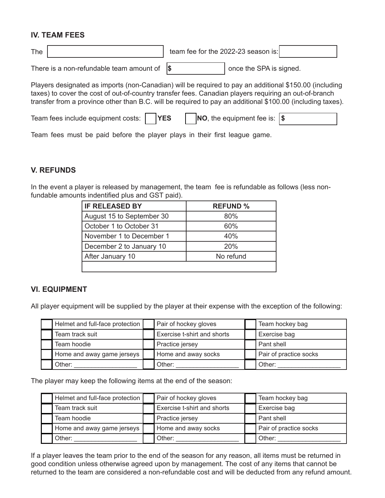#### **IV. TEAM FEES**

| The | team fee for the 2022-23 season is: |  |
|-----|-------------------------------------|--|
|     |                                     |  |

There is a non-refundable team amount of

**\$**  $\vert$  once the SPA is signed.

Players designated as imports (non-Canadian) will be required to pay an additional \$150.00 (including taxes) to cover the cost of out-of-country transfer fees. Canadian players requiring an out-of-branch transfer from a province other than B.C. will be required to pay an additional \$100.00 (including taxes).

| Team fees include equipment costs:     YES |  | <b>NO</b> , the equipment fee is: $ \$$ |  |  |
|--------------------------------------------|--|-----------------------------------------|--|--|
|--------------------------------------------|--|-----------------------------------------|--|--|

Team fees must be paid before the player plays in their first league game.

#### **V. REFUNDS**

In the event a player is released by management, the team fee is refundable as follows (less nonfundable amounts indentified plus and GST paid).

| <b>IF RELEASED BY</b>     | <b>REFUND %</b> |
|---------------------------|-----------------|
| August 15 to September 30 | 80%             |
| October 1 to October 31   | 60%             |
| November 1 to December 1  | 40%             |
| December 2 to January 10  | 20%             |
| After January 10          | No refund       |
|                           |                 |

#### **VI. EQUIPMENT**

All player equipment will be supplied by the player at their expense with the exception of the following:

| Helmet and full-face protection | Pair of hockey gloves       | Team hockey bag        |
|---------------------------------|-----------------------------|------------------------|
| Team track suit                 | Exercise t-shirt and shorts | Exercise bag           |
| Team hoodie                     | Practice jersey             | Pant shell             |
| Home and away game jerseys      | Home and away socks         | Pair of practice socks |
| Other:                          | Other:                      | Other:                 |

The player may keep the following items at the end of the season:

| Helmet and full-face protection | Pair of hockey gloves       | Team hockey bag        |
|---------------------------------|-----------------------------|------------------------|
| Team track suit                 | Exercise t-shirt and shorts | Exercise bag           |
| Team hoodie                     | Practice jersey             | Pant shell             |
| Home and away game jerseys      | Home and away socks         | Pair of practice socks |
| Other:                          | Other:                      | Other:                 |

If a player leaves the team prior to the end of the season for any reason, all items must be returned in good condition unless otherwise agreed upon by management. The cost of any items that cannot be returned to the team are considered a non-refundable cost and will be deducted from any refund amount.